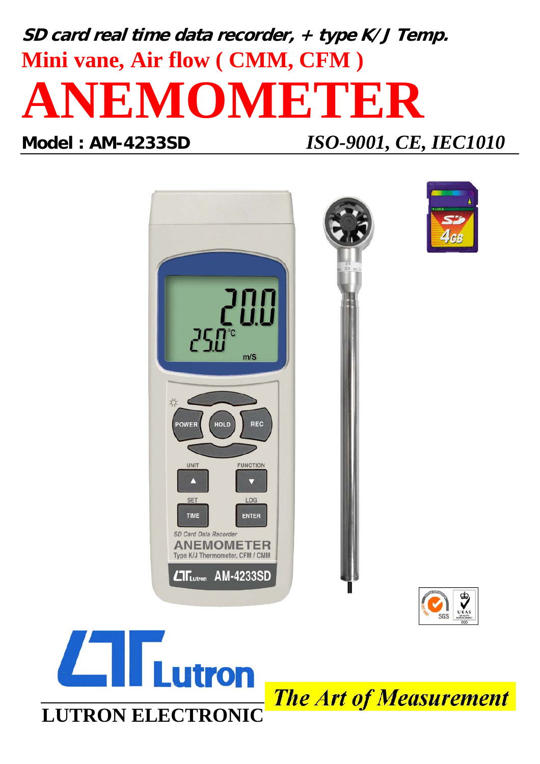# **SD card real time data recorder, + type K/J Temp. Mini vane, Air flow ( CMM, CFM ) ANEMOMETER**

**Model : AM-4233SD** *ISO-9001, CE, IEC1010*





**The Art of Measurement**